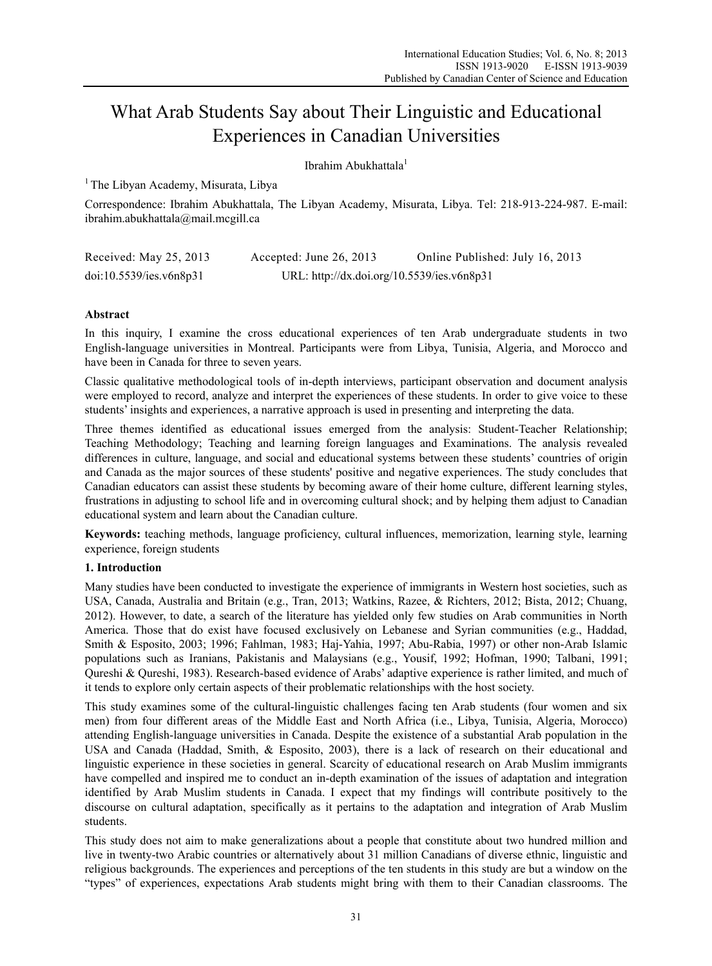# What Arab Students Say about Their Linguistic and Educational Experiences in Canadian Universities

Ibrahim Abukhattala<sup>1</sup>

 $<sup>1</sup>$  The Libyan Academy, Misurata, Libya</sup>

Correspondence: Ibrahim Abukhattala, The Libyan Academy, Misurata, Libya. Tel: 218-913-224-987. E-mail: ibrahim.abukhattala@mail.mcgill.ca

| Received: May 25, 2013  | Accepted: June 26, 2013                    | Online Published: July 16, 2013 |
|-------------------------|--------------------------------------------|---------------------------------|
| doi:10.5539/ies.v6n8p31 | URL: http://dx.doi.org/10.5539/ies.v6n8p31 |                                 |

# **Abstract**

In this inquiry, I examine the cross educational experiences of ten Arab undergraduate students in two English-language universities in Montreal. Participants were from Libya, Tunisia, Algeria, and Morocco and have been in Canada for three to seven years.

Classic qualitative methodological tools of in-depth interviews, participant observation and document analysis were employed to record, analyze and interpret the experiences of these students. In order to give voice to these students' insights and experiences, a narrative approach is used in presenting and interpreting the data.

Three themes identified as educational issues emerged from the analysis: Student-Teacher Relationship; Teaching Methodology; Teaching and learning foreign languages and Examinations. The analysis revealed differences in culture, language, and social and educational systems between these students' countries of origin and Canada as the major sources of these students' positive and negative experiences. The study concludes that Canadian educators can assist these students by becoming aware of their home culture, different learning styles, frustrations in adjusting to school life and in overcoming cultural shock; and by helping them adjust to Canadian educational system and learn about the Canadian culture.

**Keywords:** teaching methods, language proficiency, cultural influences, memorization, learning style, learning experience, foreign students

### **1. Introduction**

Many studies have been conducted to investigate the experience of immigrants in Western host societies, such as USA, Canada, Australia and Britain (e.g., Tran, 2013; Watkins, Razee, & Richters, 2012; Bista, 2012; Chuang, 2012). However, to date, a search of the literature has yielded only few studies on Arab communities in North America. Those that do exist have focused exclusively on Lebanese and Syrian communities (e.g., Haddad, Smith & Esposito, 2003; 1996; Fahlman, 1983; Haj-Yahia, 1997; Abu-Rabia, 1997) or other non-Arab Islamic populations such as Iranians, Pakistanis and Malaysians (e.g., Yousif, 1992; Hofman, 1990; Talbani, 1991; Qureshi & Qureshi, 1983). Research-based evidence of Arabs' adaptive experience is rather limited, and much of it tends to explore only certain aspects of their problematic relationships with the host society.

This study examines some of the cultural-linguistic challenges facing ten Arab students (four women and six men) from four different areas of the Middle East and North Africa (i.e., Libya, Tunisia, Algeria, Morocco) attending English-language universities in Canada. Despite the existence of a substantial Arab population in the USA and Canada (Haddad, Smith, & Esposito, 2003), there is a lack of research on their educational and linguistic experience in these societies in general. Scarcity of educational research on Arab Muslim immigrants have compelled and inspired me to conduct an in-depth examination of the issues of adaptation and integration identified by Arab Muslim students in Canada. I expect that my findings will contribute positively to the discourse on cultural adaptation, specifically as it pertains to the adaptation and integration of Arab Muslim students.

This study does not aim to make generalizations about a people that constitute about two hundred million and live in twenty-two Arabic countries or alternatively about 31 million Canadians of diverse ethnic, linguistic and religious backgrounds. The experiences and perceptions of the ten students in this study are but a window on the "types" of experiences, expectations Arab students might bring with them to their Canadian classrooms. The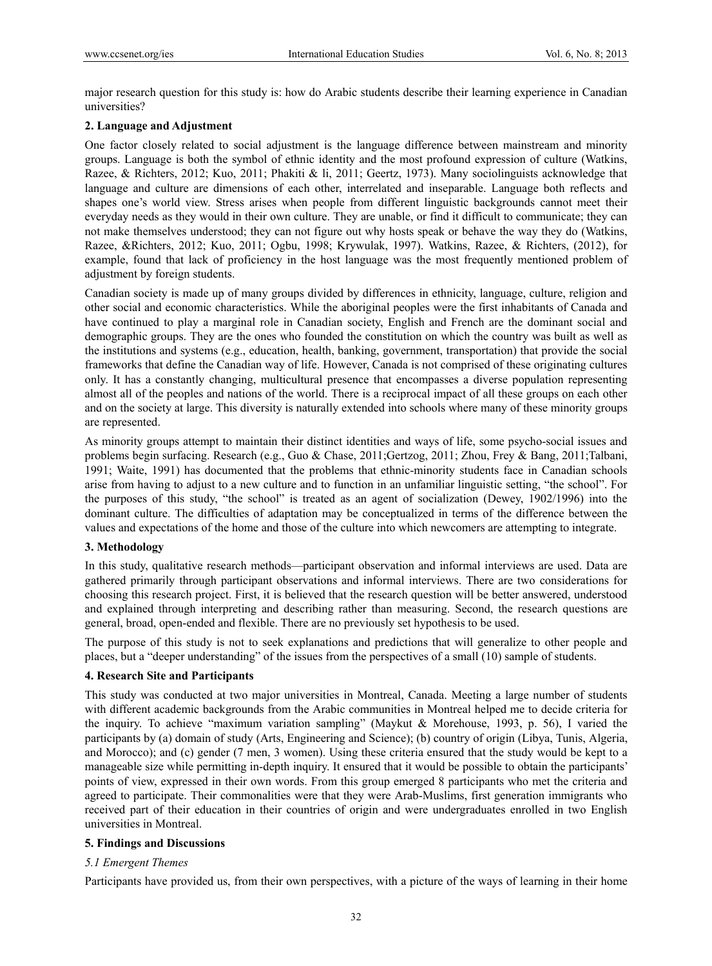major research question for this study is: how do Arabic students describe their learning experience in Canadian universities?

# **2. Language and Adjustment**

One factor closely related to social adjustment is the language difference between mainstream and minority groups. Language is both the symbol of ethnic identity and the most profound expression of culture (Watkins, Razee, & Richters, 2012; Kuo, 2011; Phakiti & li, 2011; Geertz, 1973). Many sociolinguists acknowledge that language and culture are dimensions of each other, interrelated and inseparable. Language both reflects and shapes one's world view. Stress arises when people from different linguistic backgrounds cannot meet their everyday needs as they would in their own culture. They are unable, or find it difficult to communicate; they can not make themselves understood; they can not figure out why hosts speak or behave the way they do (Watkins, Razee, &Richters, 2012; Kuo, 2011; Ogbu, 1998; Krywulak, 1997). Watkins, Razee, & Richters, (2012), for example, found that lack of proficiency in the host language was the most frequently mentioned problem of adjustment by foreign students.

Canadian society is made up of many groups divided by differences in ethnicity, language, culture, religion and other social and economic characteristics. While the aboriginal peoples were the first inhabitants of Canada and have continued to play a marginal role in Canadian society, English and French are the dominant social and demographic groups. They are the ones who founded the constitution on which the country was built as well as the institutions and systems (e.g., education, health, banking, government, transportation) that provide the social frameworks that define the Canadian way of life. However, Canada is not comprised of these originating cultures only. It has a constantly changing, multicultural presence that encompasses a diverse population representing almost all of the peoples and nations of the world. There is a reciprocal impact of all these groups on each other and on the society at large. This diversity is naturally extended into schools where many of these minority groups are represented.

As minority groups attempt to maintain their distinct identities and ways of life, some psycho-social issues and problems begin surfacing. Research (e.g., Guo & Chase, 2011;Gertzog, 2011; Zhou, Frey & Bang, 2011;Talbani, 1991; Waite, 1991) has documented that the problems that ethnic-minority students face in Canadian schools arise from having to adjust to a new culture and to function in an unfamiliar linguistic setting, "the school". For the purposes of this study, "the school" is treated as an agent of socialization (Dewey, 1902/1996) into the dominant culture. The difficulties of adaptation may be conceptualized in terms of the difference between the values and expectations of the home and those of the culture into which newcomers are attempting to integrate.

# **3. Methodology**

In this study, qualitative research methods—participant observation and informal interviews are used. Data are gathered primarily through participant observations and informal interviews. There are two considerations for choosing this research project. First, it is believed that the research question will be better answered, understood and explained through interpreting and describing rather than measuring. Second, the research questions are general, broad, open-ended and flexible. There are no previously set hypothesis to be used.

The purpose of this study is not to seek explanations and predictions that will generalize to other people and places, but a "deeper understanding" of the issues from the perspectives of a small (10) sample of students.

### **4. Research Site and Participants**

This study was conducted at two major universities in Montreal, Canada. Meeting a large number of students with different academic backgrounds from the Arabic communities in Montreal helped me to decide criteria for the inquiry. To achieve "maximum variation sampling" (Maykut & Morehouse, 1993, p. 56), I varied the participants by (a) domain of study (Arts, Engineering and Science); (b) country of origin (Libya, Tunis, Algeria, and Morocco); and (c) gender (7 men, 3 women). Using these criteria ensured that the study would be kept to a manageable size while permitting in-depth inquiry. It ensured that it would be possible to obtain the participants' points of view, expressed in their own words. From this group emerged 8 participants who met the criteria and agreed to participate. Their commonalities were that they were Arab-Muslims, first generation immigrants who received part of their education in their countries of origin and were undergraduates enrolled in two English universities in Montreal.

### **5. Findings and Discussions**

### *5.1 Emergent Themes*

Participants have provided us, from their own perspectives, with a picture of the ways of learning in their home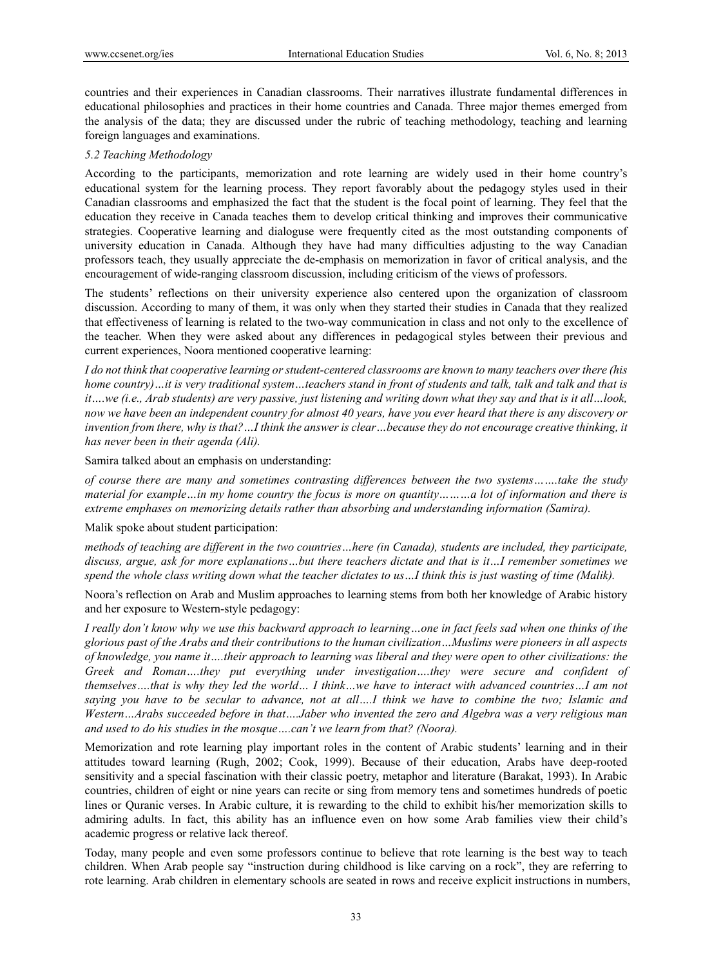countries and their experiences in Canadian classrooms. Their narratives illustrate fundamental differences in educational philosophies and practices in their home countries and Canada. Three major themes emerged from the analysis of the data; they are discussed under the rubric of teaching methodology, teaching and learning foreign languages and examinations.

#### *5.2 Teaching Methodology*

According to the participants, memorization and rote learning are widely used in their home country's educational system for the learning process. They report favorably about the pedagogy styles used in their Canadian classrooms and emphasized the fact that the student is the focal point of learning. They feel that the education they receive in Canada teaches them to develop critical thinking and improves their communicative strategies. Cooperative learning and dialoguse were frequently cited as the most outstanding components of university education in Canada. Although they have had many difficulties adjusting to the way Canadian professors teach, they usually appreciate the de-emphasis on memorization in favor of critical analysis, and the encouragement of wide-ranging classroom discussion, including criticism of the views of professors.

The students' reflections on their university experience also centered upon the organization of classroom discussion. According to many of them, it was only when they started their studies in Canada that they realized that effectiveness of learning is related to the two-way communication in class and not only to the excellence of the teacher. When they were asked about any differences in pedagogical styles between their previous and current experiences, Noora mentioned cooperative learning:

*I do not think that cooperative learning or student-centered classrooms are known to many teachers over there (his home country)…it is very traditional system…teachers stand in front of students and talk, talk and talk and that is it….we (i.e., Arab students) are very passive, just listening and writing down what they say and that is it all…look, now we have been an independent country for almost 40 years, have you ever heard that there is any discovery or invention from there, why is that?…I think the answer is clear…because they do not encourage creative thinking, it has never been in their agenda (Ali).* 

Samira talked about an emphasis on understanding:

*of course there are many and sometimes contrasting differences between the two systems…….take the study material for example…in my home country the focus is more on quantity………a lot of information and there is extreme emphases on memorizing details rather than absorbing and understanding information (Samira).* 

Malik spoke about student participation:

*methods of teaching are different in the two countries…here (in Canada), students are included, they participate, discuss, argue, ask for more explanations…but there teachers dictate and that is it…I remember sometimes we spend the whole class writing down what the teacher dictates to us…I think this is just wasting of time (Malik).* 

Noora's reflection on Arab and Muslim approaches to learning stems from both her knowledge of Arabic history and her exposure to Western-style pedagogy:

*I really don't know why we use this backward approach to learning…one in fact feels sad when one thinks of the glorious past of the Arabs and their contributions to the human civilization…Muslims were pioneers in all aspects of knowledge, you name it….their approach to learning was liberal and they were open to other civilizations: the Greek and Roman….they put everything under investigation….they were secure and confident of themselves….that is why they led the world… I think…we have to interact with advanced countries…I am not saying you have to be secular to advance, not at all….I think we have to combine the two; Islamic and Western…Arabs succeeded before in that….Jaber who invented the zero and Algebra was a very religious man and used to do his studies in the mosque….can't we learn from that? (Noora).* 

Memorization and rote learning play important roles in the content of Arabic students' learning and in their attitudes toward learning (Rugh, 2002; Cook, 1999). Because of their education, Arabs have deep-rooted sensitivity and a special fascination with their classic poetry, metaphor and literature (Barakat, 1993). In Arabic countries, children of eight or nine years can recite or sing from memory tens and sometimes hundreds of poetic lines or Quranic verses. In Arabic culture, it is rewarding to the child to exhibit his/her memorization skills to admiring adults. In fact, this ability has an influence even on how some Arab families view their child's academic progress or relative lack thereof.

Today, many people and even some professors continue to believe that rote learning is the best way to teach children. When Arab people say "instruction during childhood is like carving on a rock", they are referring to rote learning. Arab children in elementary schools are seated in rows and receive explicit instructions in numbers,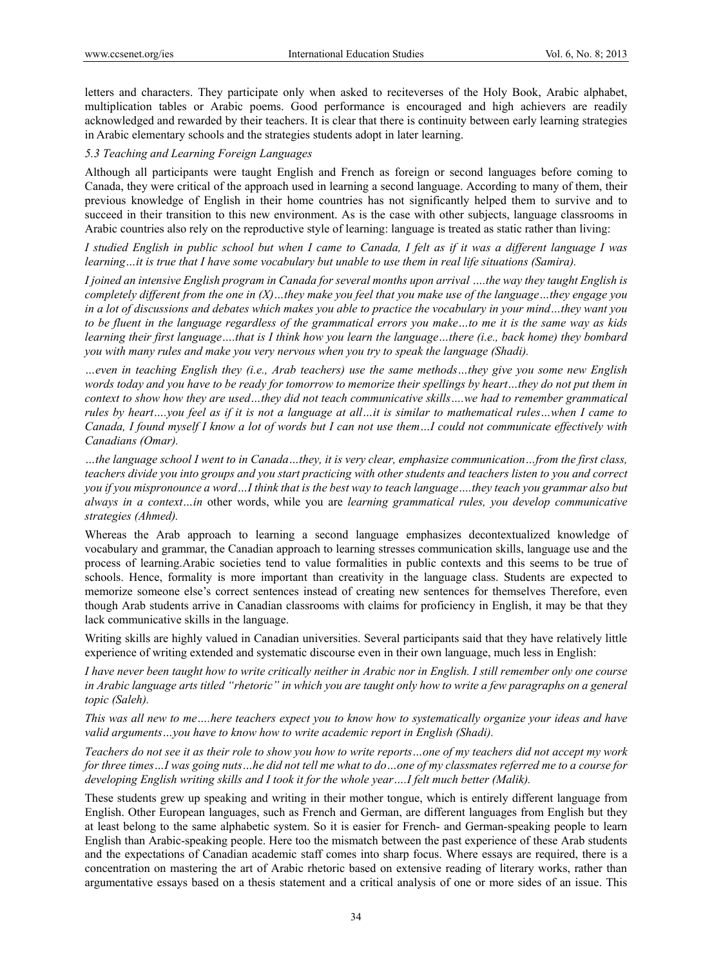letters and characters. They participate only when asked to reciteverses of the Holy Book, Arabic alphabet, multiplication tables or Arabic poems. Good performance is encouraged and high achievers are readily acknowledged and rewarded by their teachers. It is clear that there is continuity between early learning strategies in Arabic elementary schools and the strategies students adopt in later learning.

### *5.3 Teaching and Learning Foreign Languages*

Although all participants were taught English and French as foreign or second languages before coming to Canada, they were critical of the approach used in learning a second language. According to many of them, their previous knowledge of English in their home countries has not significantly helped them to survive and to succeed in their transition to this new environment. As is the case with other subjects, language classrooms in Arabic countries also rely on the reproductive style of learning: language is treated as static rather than living:

*I studied English in public school but when I came to Canada, I felt as if it was a different language I was learning…it is true that I have some vocabulary but unable to use them in real life situations (Samira).* 

*I joined an intensive English program in Canada for several months upon arrival ….the way they taught English is completely different from the one in (X)…they make you feel that you make use of the language…they engage you in a lot of discussions and debates which makes you able to practice the vocabulary in your mind…they want you to be fluent in the language regardless of the grammatical errors you make…to me it is the same way as kids learning their first language….that is I think how you learn the language…there (i.e., back home) they bombard you with many rules and make you very nervous when you try to speak the language (Shadi).* 

*…even in teaching English they (i.e., Arab teachers) use the same methods…they give you some new English words today and you have to be ready for tomorrow to memorize their spellings by heart…they do not put them in context to show how they are used…they did not teach communicative skills….we had to remember grammatical rules by heart….you feel as if it is not a language at all…it is similar to mathematical rules…when I came to Canada, I found myself I know a lot of words but I can not use them…I could not communicate effectively with Canadians (Omar).* 

*…the language school I went to in Canada…they, it is very clear, emphasize communication…from the first class, teachers divide you into groups and you start practicing with other students and teachers listen to you and correct you if you mispronounce a word…I think that is the best way to teach language….they teach you grammar also but always in a context…in* other words, while you are *learning grammatical rules, you develop communicative strategies (Ahmed).* 

Whereas the Arab approach to learning a second language emphasizes decontextualized knowledge of vocabulary and grammar, the Canadian approach to learning stresses communication skills, language use and the process of learning.Arabic societies tend to value formalities in public contexts and this seems to be true of schools. Hence, formality is more important than creativity in the language class. Students are expected to memorize someone else's correct sentences instead of creating new sentences for themselves Therefore, even though Arab students arrive in Canadian classrooms with claims for proficiency in English, it may be that they lack communicative skills in the language.

Writing skills are highly valued in Canadian universities. Several participants said that they have relatively little experience of writing extended and systematic discourse even in their own language, much less in English:

*I have never been taught how to write critically neither in Arabic nor in English. I still remember only one course in Arabic language arts titled "rhetoric" in which you are taught only how to write a few paragraphs on a general topic (Saleh).* 

*This was all new to me….here teachers expect you to know how to systematically organize your ideas and have valid arguments…you have to know how to write academic report in English (Shadi).* 

*Teachers do not see it as their role to show you how to write reports…one of my teachers did not accept my work for three times…I was going nuts…he did not tell me what to do…one of my classmates referred me to a course for developing English writing skills and I took it for the whole year….I felt much better (Malik).* 

These students grew up speaking and writing in their mother tongue, which is entirely different language from English. Other European languages, such as French and German, are different languages from English but they at least belong to the same alphabetic system. So it is easier for French- and German-speaking people to learn English than Arabic-speaking people. Here too the mismatch between the past experience of these Arab students and the expectations of Canadian academic staff comes into sharp focus. Where essays are required, there is a concentration on mastering the art of Arabic rhetoric based on extensive reading of literary works, rather than argumentative essays based on a thesis statement and a critical analysis of one or more sides of an issue. This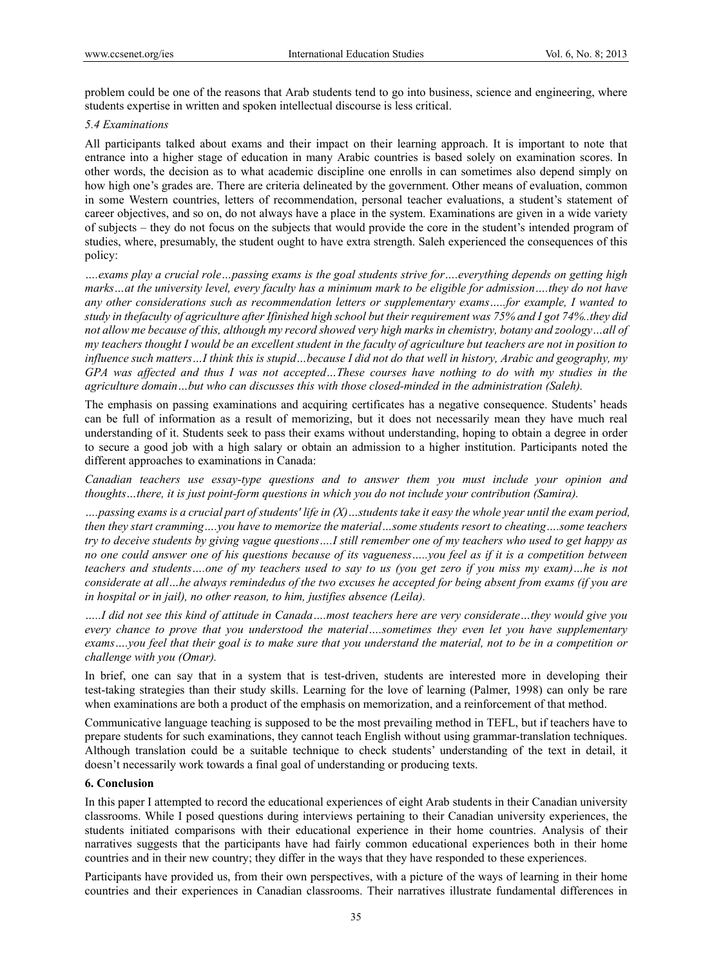problem could be one of the reasons that Arab students tend to go into business, science and engineering, where students expertise in written and spoken intellectual discourse is less critical.

#### *5.4 Examinations*

All participants talked about exams and their impact on their learning approach. It is important to note that entrance into a higher stage of education in many Arabic countries is based solely on examination scores. In other words, the decision as to what academic discipline one enrolls in can sometimes also depend simply on how high one's grades are. There are criteria delineated by the government. Other means of evaluation, common in some Western countries, letters of recommendation, personal teacher evaluations, a student's statement of career objectives, and so on, do not always have a place in the system. Examinations are given in a wide variety of subjects – they do not focus on the subjects that would provide the core in the student's intended program of studies, where, presumably, the student ought to have extra strength. Saleh experienced the consequences of this policy:

*….exams play a crucial role…passing exams is the goal students strive for….everything depends on getting high marks…at the university level, every faculty has a minimum mark to be eligible for admission….they do not have any other considerations such as recommendation letters or supplementary exams…..for example, I wanted to study in thefaculty of agriculture after Ifinished high school but their requirement was 75% and I got 74%..they did not allow me because of this, although my record showed very high marks in chemistry, botany and zoology…all of my teachers thought I would be an excellent student in the faculty of agriculture but teachers are not in position to influence such matters…I think this is stupid…because I did not do that well in history, Arabic and geography, my GPA was affected and thus I was not accepted…These courses have nothing to do with my studies in the agriculture domain…but who can discusses this with those closed-minded in the administration (Saleh).* 

The emphasis on passing examinations and acquiring certificates has a negative consequence. Students' heads can be full of information as a result of memorizing, but it does not necessarily mean they have much real understanding of it. Students seek to pass their exams without understanding, hoping to obtain a degree in order to secure a good job with a high salary or obtain an admission to a higher institution. Participants noted the different approaches to examinations in Canada:

*Canadian teachers use essay-type questions and to answer them you must include your opinion and thoughts…there, it is just point-form questions in which you do not include your contribution (Samira).* 

*….passing exams is a crucial part of students' life in (X)…students take it easy the whole year until the exam period, then they start cramming….you have to memorize the material…some students resort to cheating….some teachers try to deceive students by giving vague questions….I still remember one of my teachers who used to get happy as no one could answer one of his questions because of its vagueness…..you feel as if it is a competition between teachers and students….one of my teachers used to say to us (you get zero if you miss my exam)…he is not considerate at all…he always remindedus of the two excuses he accepted for being absent from exams (if you are in hospital or in jail), no other reason, to him, justifies absence (Leila).* 

*…..I did not see this kind of attitude in Canada….most teachers here are very considerate…they would give you every chance to prove that you understood the material….sometimes they even let you have supplementary exams….you feel that their goal is to make sure that you understand the material, not to be in a competition or challenge with you (Omar).* 

In brief, one can say that in a system that is test-driven, students are interested more in developing their test-taking strategies than their study skills. Learning for the love of learning (Palmer, 1998) can only be rare when examinations are both a product of the emphasis on memorization, and a reinforcement of that method.

Communicative language teaching is supposed to be the most prevailing method in TEFL, but if teachers have to prepare students for such examinations, they cannot teach English without using grammar-translation techniques. Although translation could be a suitable technique to check students' understanding of the text in detail, it doesn't necessarily work towards a final goal of understanding or producing texts.

# **6. Conclusion**

In this paper I attempted to record the educational experiences of eight Arab students in their Canadian university classrooms. While I posed questions during interviews pertaining to their Canadian university experiences, the students initiated comparisons with their educational experience in their home countries. Analysis of their narratives suggests that the participants have had fairly common educational experiences both in their home countries and in their new country; they differ in the ways that they have responded to these experiences.

Participants have provided us, from their own perspectives, with a picture of the ways of learning in their home countries and their experiences in Canadian classrooms. Their narratives illustrate fundamental differences in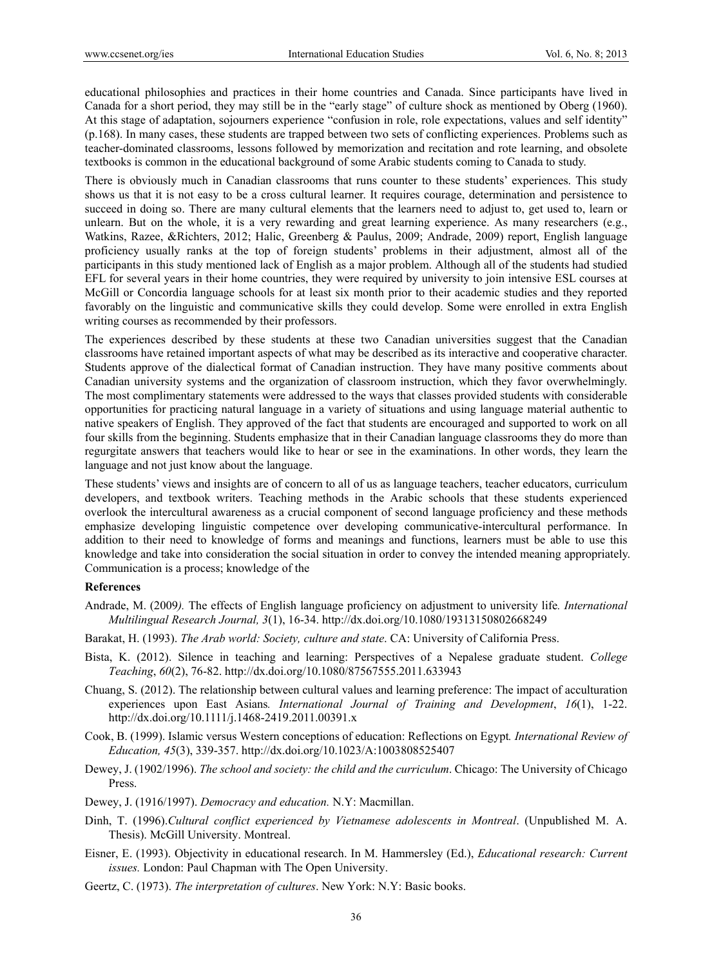educational philosophies and practices in their home countries and Canada. Since participants have lived in Canada for a short period, they may still be in the "early stage" of culture shock as mentioned by Oberg (1960). At this stage of adaptation, sojourners experience "confusion in role, role expectations, values and self identity" (p.168). In many cases, these students are trapped between two sets of conflicting experiences. Problems such as teacher-dominated classrooms, lessons followed by memorization and recitation and rote learning, and obsolete textbooks is common in the educational background of some Arabic students coming to Canada to study.

There is obviously much in Canadian classrooms that runs counter to these students' experiences. This study shows us that it is not easy to be a cross cultural learner. It requires courage, determination and persistence to succeed in doing so. There are many cultural elements that the learners need to adjust to, get used to, learn or unlearn. But on the whole, it is a very rewarding and great learning experience. As many researchers (e.g., Watkins, Razee, &Richters, 2012; Halic, Greenberg & Paulus, 2009; Andrade, 2009) report, English language proficiency usually ranks at the top of foreign students' problems in their adjustment, almost all of the participants in this study mentioned lack of English as a major problem. Although all of the students had studied EFL for several years in their home countries, they were required by university to join intensive ESL courses at McGill or Concordia language schools for at least six month prior to their academic studies and they reported favorably on the linguistic and communicative skills they could develop. Some were enrolled in extra English writing courses as recommended by their professors.

The experiences described by these students at these two Canadian universities suggest that the Canadian classrooms have retained important aspects of what may be described as its interactive and cooperative character. Students approve of the dialectical format of Canadian instruction. They have many positive comments about Canadian university systems and the organization of classroom instruction, which they favor overwhelmingly. The most complimentary statements were addressed to the ways that classes provided students with considerable opportunities for practicing natural language in a variety of situations and using language material authentic to native speakers of English. They approved of the fact that students are encouraged and supported to work on all four skills from the beginning. Students emphasize that in their Canadian language classrooms they do more than regurgitate answers that teachers would like to hear or see in the examinations. In other words, they learn the language and not just know about the language.

These students' views and insights are of concern to all of us as language teachers, teacher educators, curriculum developers, and textbook writers. Teaching methods in the Arabic schools that these students experienced overlook the intercultural awareness as a crucial component of second language proficiency and these methods emphasize developing linguistic competence over developing communicative-intercultural performance. In addition to their need to knowledge of forms and meanings and functions, learners must be able to use this knowledge and take into consideration the social situation in order to convey the intended meaning appropriately. Communication is a process; knowledge of the

### **References**

- Andrade, M. (2009*).* The effects of English language proficiency on adjustment to university life*. International Multilingual Research Journal, 3*(1), 16-34. http://dx.doi.org/10.1080/19313150802668249
- Barakat, H. (1993). *The Arab world: Society, culture and state*. CA: University of California Press.
- Bista, K. (2012). Silence in teaching and learning: Perspectives of a Nepalese graduate student. *College Teaching*, *60*(2), 76-82. http://dx.doi.org/10.1080/87567555.2011.633943
- Chuang, S. (2012). The relationship between cultural values and learning preference: The impact of acculturation experiences upon East Asians*. International Journal of Training and Development*, *16*(1), 1-22. http://dx.doi.org/10.1111/j.1468-2419.2011.00391.x
- Cook, B. (1999). Islamic versus Western conceptions of education: Reflections on Egypt*. International Review of Education, 45*(3), 339-357. http://dx.doi.org/10.1023/A:1003808525407
- Dewey, J. (1902/1996). *The school and society: the child and the curriculum*. Chicago: The University of Chicago Press.
- Dewey, J. (1916/1997). *Democracy and education.* N.Y: Macmillan.
- Dinh, T. (1996).*Cultural conflict experienced by Vietnamese adolescents in Montreal*. (Unpublished M. A. Thesis). McGill University. Montreal.
- Eisner, E. (1993). Objectivity in educational research. In M. Hammersley (Ed.), *Educational research: Current issues.* London: Paul Chapman with The Open University.
- Geertz, C. (1973). *The interpretation of cultures*. New York: N.Y: Basic books.